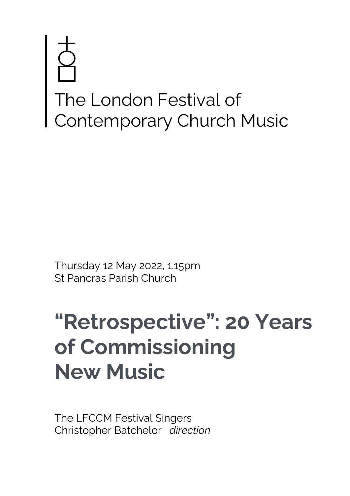# The London Festival of Contemporary Church Music

Thursday 12 May 2022, 1.15pm St Pancras Parish Church

# **"Retrospective": 20 Years of Commissioning New Music**

The LFCCM Festival Singers Christopher Batchelor *direction*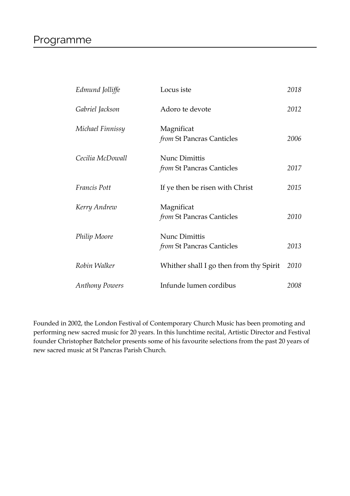# Programme

| Edmund Jolliffe       | Locus iste                                               | 2018 |
|-----------------------|----------------------------------------------------------|------|
| Gabriel Jackson       | Adoro te devote                                          | 2012 |
| Michael Finnissy      | Magnificat<br>from St Pancras Canticles                  | 2006 |
| Cecilia McDowall      | <b>Nunc Dimittis</b><br>from St Pancras Canticles        | 2017 |
| Francis Pott          | If ye then be risen with Christ                          | 2015 |
| Kerry Andrew          | Magnificat<br>from St Pancras Canticles                  | 2010 |
| Philip Moore          | <b>Nunc Dimittis</b><br><i>from</i> St Pancras Canticles | 2013 |
| Robin Walker          | Whither shall I go then from thy Spirit                  | 2010 |
| <b>Anthony Powers</b> | Infunde lumen cordibus                                   | 2008 |

Founded in 2002, the London Festival of Contemporary Church Music has been promoting and performing new sacred music for 20 years. In this lunchtime recital, Artistic Director and Festival founder Christopher Batchelor presents some of his favourite selections from the past 20 years of new sacred music at St Pancras Parish Church.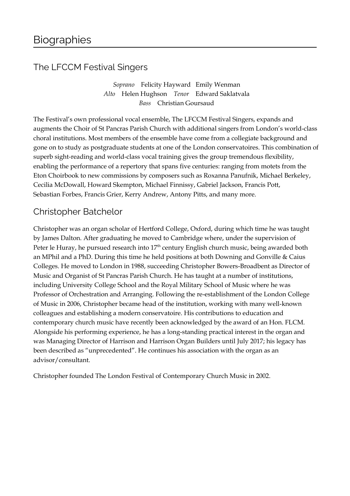## The LFCCM Festival Singers

*Soprano* Felicity Hayward Emily Wenman *Alto* Helen Hughson *Tenor* Edward Saklatvala *Bass* Christian Goursaud

The Festival's own professional vocal ensemble, The LFCCM Festival Singers, expands and augments the Choir of St Pancras Parish Church with additional singers from London's world-class choral institutions. Most members of the ensemble have come from a collegiate background and gone on to study as postgraduate students at one of the London conservatoires. This combination of superb sight-reading and world-class vocal training gives the group tremendous flexibility, enabling the performance of a repertory that spans five centuries: ranging from motets from the Eton Choirbook to new commissions by composers such as Roxanna Panufnik, Michael Berkeley, Cecilia McDowall, Howard Skempton, Michael Finnissy, Gabriel Jackson, Francis Pott, Sebastian Forbes, Francis Grier, Kerry Andrew, Antony Pitts, and many more.

### Christopher Batchelor

Christopher was an organ scholar of Hertford College, Oxford, during which time he was taught by James Dalton. After graduating he moved to Cambridge where, under the supervision of Peter le Huray, he pursued research into 17<sup>th</sup> century English church music, being awarded both an MPhil and a PhD. During this time he held positions at both Downing and Gonville & Caius Colleges. He moved to London in 1988, succeeding Christopher Bowers-Broadbent as Director of Music and Organist of St Pancras Parish Church. He has taught at a number of institutions, including University College School and the Royal Military School of Music where he was Professor of Orchestration and Arranging. Following the re-establishment of the London College of Music in 2006, Christopher became head of the institution, working with many well-known colleagues and establishing a modern conservatoire. His contributions to education and contemporary church music have recently been acknowledged by the award of an Hon. FLCM. Alongside his performing experience, he has a long-standing practical interest in the organ and was Managing Director of Harrison and Harrison Organ Builders until July 2017; his legacy has been described as "unprecedented". He continues his association with the organ as an advisor/consultant.

Christopher founded The London Festival of Contemporary Church Music in 2002.